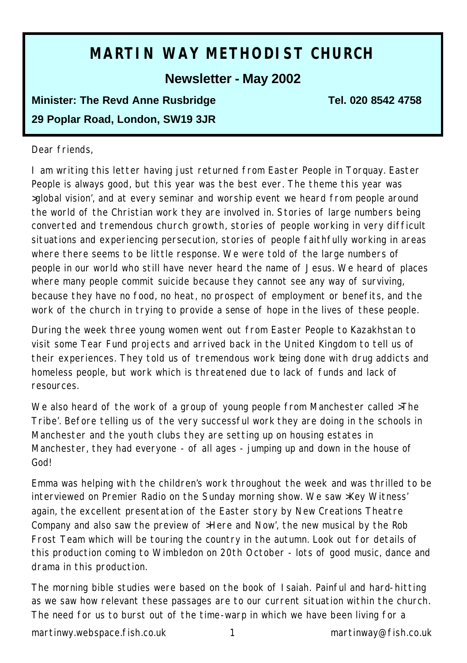# **MARTIN WAY METHODIST CHURCH**

## **Newsletter - May 2002**

## **Minister: The Revd Anne Rusbridge Tel. 020 8542 4758 29 Poplar Road, London, SW19 3JR**

#### Dear friends,

I am writing this letter having just returned from Easter People in Torquay. Easter People is always good, but this year was the best ever. The theme this year was >global vision', and at every seminar and worship event we heard from people around the world of the Christian work they are involved in. Stories of large numbers being converted and tremendous church growth, stories of people working in very difficult situations and experiencing persecution, stories of people faithfully working in areas where there seems to be little response. We were told of the large numbers of people in our world who still have never heard the name of Jesus. We heard of places where many people commit suicide because they cannot see any way of surviving, because they have no food, no heat, no prospect of employment or benefits, and the work of the church in trying to provide a sense of hope in the lives of these people.

During the week three young women went out from Easter People to Kazakhstan to visit some Tear Fund projects and arrived back in the United Kingdom to tell us of their experiences. They told us of tremendous work being done with drug addicts and homeless people, but work which is threatened due to lack of funds and lack of resources.

We also heard of the work of a group of young people from Manchester called >The Tribe'. Before telling us of the very successful work they are doing in the schools in Manchester and the youth clubs they are setting up on housing estates in Manchester, they had everyone - of all ages - jumping up and down in the house of God!

Emma was helping with the children's work throughout the week and was thrilled to be interviewed on Premier Radio on the Sunday morning show. We saw >Key Witness' again, the excellent presentation of the Easter story by New Creations Theatre Company and also saw the preview of >Here and Now', the new musical by the Rob Frost Team which will be touring the country in the autumn. Look out for details of this production coming to Wimbledon on 20th October - lots of good music, dance and drama in this production.

The morning bible studies were based on the book of Isaiah. Painful and hard-hitting as we saw how relevant these passages are to our current situation within the church. The need for us to burst out of the time-warp in which we have been living for a

martinwy.webspace.fish.co.uk 1 martinway@fish.co.uk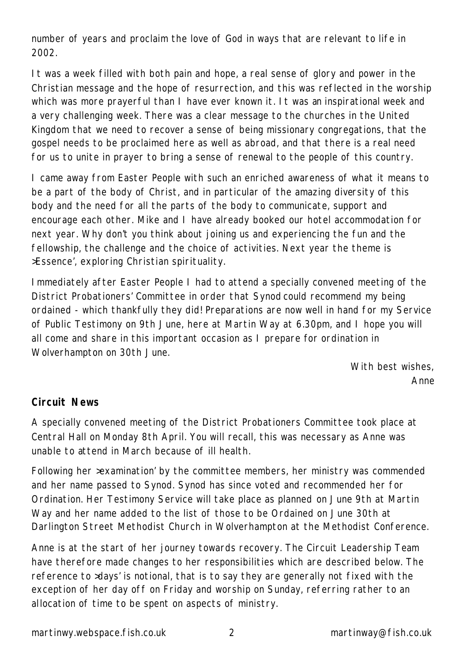number of years and proclaim the love of God in ways that are relevant to life in 2002.

It was a week filled with both pain and hope, a real sense of glory and power in the Christian message and the hope of resurrection, and this was reflected in the worship which was more prayerful than I have ever known it. It was an inspirational week and a very challenging week. There was a clear message to the churches in the United Kingdom that we need to recover a sense of being missionary congregations, that the gospel needs to be proclaimed here as well as abroad, and that there is a real need for us to unite in prayer to bring a sense of renewal to the people of this country.

I came away from Easter People with such an enriched awareness of what it means to be a part of the body of Christ, and in particular of the amazing diversity of this body and the need for all the parts of the body to communicate, support and encourage each other. Mike and I have already booked our hotel accommodation for next year. Why don't you think about joining us and experiencing the fun and the fellowship, the challenge and the choice of activities. Next year the theme is >Essence', exploring Christian spirituality.

Immediately after Easter People I had to attend a specially convened meeting of the District Probationers' Committee in order that Synod could recommend my being ordained - which thankfully they did! Preparations are now well in hand for my Service of Public Testimony on 9th June, here at Martin Way at 6.30pm, and I hope you will all come and share in this important occasion as I prepare for ordination in Wolverhampton on 30th June.

> *With best wishes, Anne*

## **Circuit News**

A specially convened meeting of the District Probationers Committee took place at Central Hall on Monday 8th April. You will recall, this was necessary as Anne was unable to attend in March because of ill health.

Following her >examination' by the committee members, her ministry was commended and her name passed to Synod. Synod has since voted and recommended her for Ordination. Her Testimony Service will take place as planned on June 9th at Martin Way and her name added to the list of those to be Ordained on June 30th at Darlington Street Methodist Church in Wolverhampton at the Methodist Conference.

Anne is at the start of her journey towards recovery. The Circuit Leadership Team have therefore made changes to her responsibilities which are described below. The reference to >days' is notional, that is to say they are generally not fixed with the exception of her day off on Friday and worship on Sunday, referring rather to an allocation of time to be spent on aspects of ministry.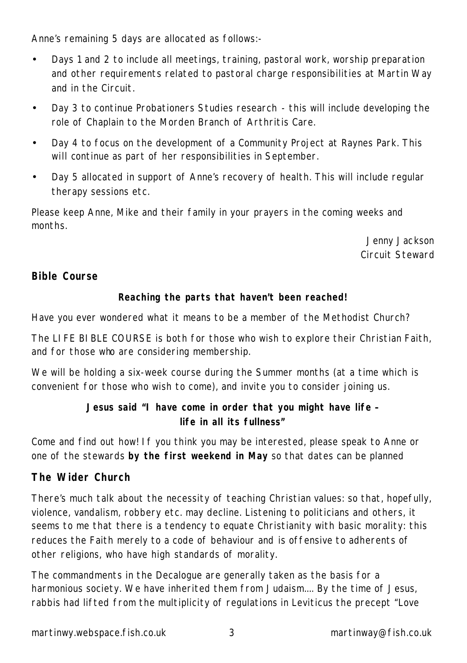Anne's remaining 5 days are allocated as follows:-

- Days 1 and 2 to include all meetings, training, pastoral work, worship preparation and other requirements related to pastoral charge responsibilities at Martin Way and in the Circuit.
- Day 3 to continue Probationers Studies research this will include developing the role of Chaplain to the Morden Branch of Arthritis Care.
- Day 4 to focus on the development of a Community Project at Raynes Park. This will continue as part of her responsibilities in September.
- Day 5 allocated in support of Anne's recovery of health. This will include regular therapy sessions etc.

Please keep Anne, Mike and their family in your prayers in the coming weeks and months.

> *Jenny Jackson Circuit Steward*

## **Bible Course**

#### **Reaching the parts that haven't been reached!**

Have you ever wondered what it means to be a member of the Methodist Church?

The LIFE BIBLE COURSE is both for those who wish to explore their Christian Faith, and for those who are considering membership.

We will be holding a six-week course during the Summer months (at a time which is convenient for those who wish to come), and invite you to consider joining us.

## **Jesus said "I have come in order that you might have life – life in all its fullness"**

Come and find out how! If you think you may be interested, please speak to Anne or one of the stewards *by the first weekend in May* so that dates can be planned

## **The Wider Church**

There's much talk about the necessity of teaching Christian values: so that, hopefully, violence, vandalism, robbery etc. may decline. Listening to politicians and others, it seems to me that there is a tendency to equate Christianity with basic morality: this reduces the Faith merely to a code of behaviour and is offensive to adherents of other religions, who have high standards of morality.

The commandments in the Decalogue are generally taken as the basis for a harmonious society. We have inherited them from Judaism.... By the time of Jesus, rabbis had lifted from the multiplicity of regulations in Leviticus the precept "Love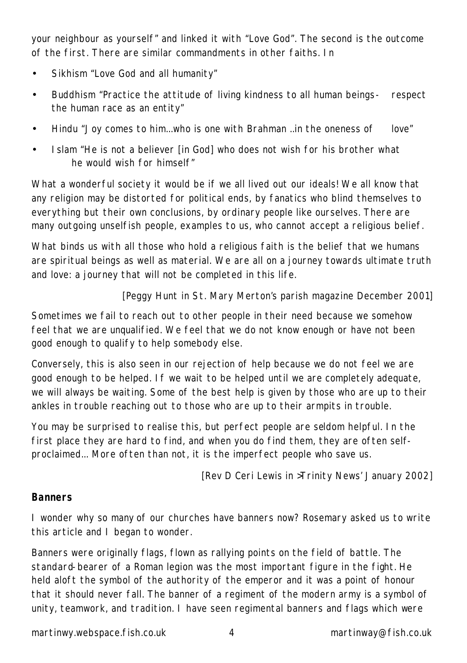your neighbour as yourself" and linked it with "Love God". The second is the outcome of the first. There are similar commandments in other faiths. In

- Sikhism "Love God and all humanity"
- Buddhism "Practice the attitude of living kindness to all human beings- respect the human race as an entity"
- Hindu "Joy comes to him...who is one with Brahman ..in the oneness of love"
- Islam "He is not a believer [in God] who does not wish for his brother what he would wish for himself"

What a wonderful society it would be if we all lived out our ideals! We all know that any religion may be distorted for political ends, by fanatics who blind themselves to everything but their own conclusions, by ordinary people like ourselves. There are many outgoing unselfish people, examples to us, who cannot accept a religious belief.

What binds us with all those who hold a religious faith is the belief that we humans are spiritual beings as well as material. We are all on a journey towards ultimate truth and love: a journey that will not be completed in this life.

#### *[Peggy Hunt in St. Mary Merton's parish magazine December 2001]*

Sometimes we fail to reach out to other people in their need because we somehow feel that we are unqualified. We feel that we do not know enough or have not been good enough to qualify to help somebody else.

Conversely, this is also seen in our rejection of help because we do not feel we are good enough to be helped. If we wait to be helped until we are completely adequate, we will always be waiting. Some of the best help is given by those who are up to their ankles in trouble reaching out to those who are up to their armpits in trouble.

You may be surprised to realise this, but perfect people are seldom helpful. In the first place they are hard to find, and when you do find them, they are often selfproclaimed... More often than not, it is the imperfect people who save us.

*[Rev D Ceri Lewis in >Trinity News' January 2002]*

#### **Banners**

I wonder why so many of our churches have banners now? Rosemary asked us to write this article and I began to wonder.

Banners were originally flags, flown as rallying points on the field of battle. The standard-bearer of a Roman legion was the most important figure in the fight. He held aloft the symbol of the authority of the emperor and it was a point of honour that it should never fall. The banner of a regiment of the modern army is a symbol of unity, teamwork, and tradition. I have seen regimental banners and flags which were

martinwy.webspace.fish.co.uk 4 martinway@fish.co.uk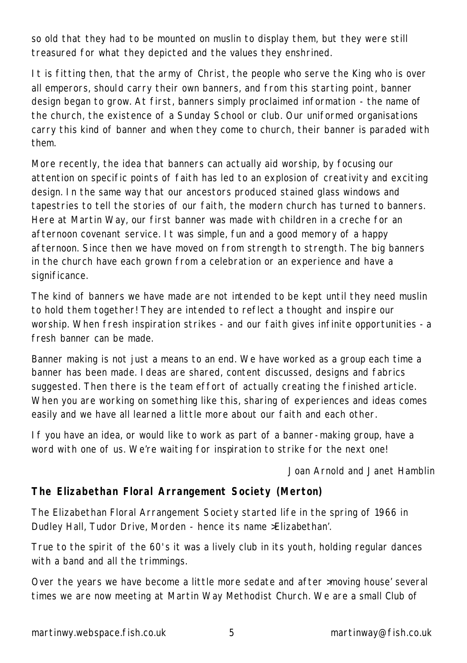so old that they had to be mounted on muslin to display them, but they were still treasured for what they depicted and the values they enshrined.

It is fitting then, that the army of Christ, the people who serve the King who is over all emperors, should carry their own banners, and from this starting point, banner design began to grow. At first, banners simply proclaimed information - the name of the church, the existence of a Sunday School or club. Our uniformed organisations carry this kind of banner and when they come to church, their banner is paraded with them.

More recently, the idea that banners can actually aid worship, by focusing our attention on specific points of faith has led to an explosion of creativity and exciting design. In the same way that our ancestors produced stained glass windows and tapestries to tell the stories of our faith, the modern church has turned to banners. Here at Martin Way, our first banner was made with children in a creche for an afternoon covenant service. It was simple, fun and a good memory of a happy afternoon. Since then we have moved on from strength to strength. The big banners in the church have each grown from a celebration or an experience and have a significance.

The kind of banners we have made are not intended to be kept until they need muslin to hold them together! They are intended to reflect a thought and inspire our worship. When fresh inspiration strikes - and our faith gives infinite opportunities - a fresh banner can be made.

Banner making is not just a means to an end. We have worked as a group each time a banner has been made. Ideas are shared, content discussed, designs and fabrics suggested. Then there is the team effort of actually creating the finished article. When you are working on something like this, sharing of experiences and ideas comes easily and we have all learned a little more about our faith and each other.

If you have an idea, or would like to work as part of a banner-making group, have a word with one of us. We're waiting for inspiration to strike for the next one!

*Joan Arnold and Janet Hamblin*

## **The Elizabethan Floral Arrangement Society (Merton)**

The Elizabethan Floral Arrangement Society started life in the spring of 1966 in Dudley Hall, Tudor Drive, Morden - hence its name >Elizabethan'.

True to the spirit of the 60's it was a lively club in its youth, holding regular dances with a band and all the trimmings.

Over the years we have become a little more sedate and after >moving house' several times we are now meeting at Martin Way Methodist Church. We are a small Club of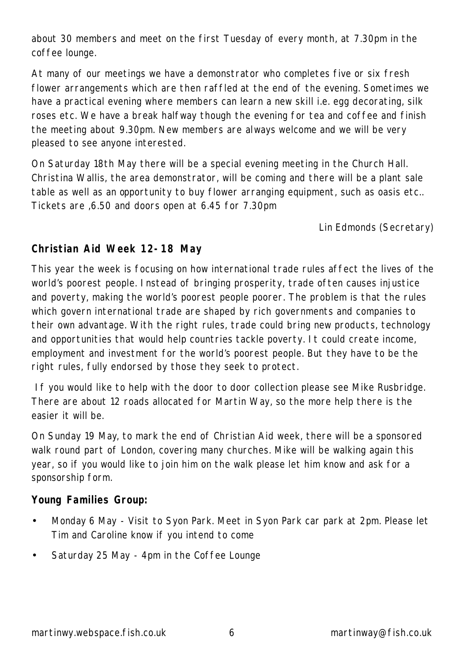about 30 members and meet on the first Tuesday of every month, at 7.30pm in the coffee lounge.

At many of our meetings we have a demonstrator who completes five or six fresh flower arrangements which are then raffled at the end of the evening. Sometimes we have a practical evening where members can learn a new skill i.e. egg decorating, silk roses etc. We have a break halfway though the evening for tea and coffee and finish the meeting about 9.30pm. New members are always welcome and we will be very pleased to see anyone interested.

On Saturday 18th May there will be a special evening meeting in the Church Hall. Christina Wallis, the area demonstrator, will be coming and there will be a plant sale table as well as an opportunity to buy flower arranging equipment, such as oasis etc.. Tickets are ,6.50 and doors open at 6.45 for 7.30pm

*Lin Edmonds (Secretary)*

#### **Christian Aid Week 12-18 May**

This year the week is focusing on how international trade rules affect the lives of the world's poorest people. Instead of bringing prosperity, trade often causes injustice and poverty, making the world's poorest people poorer. The problem is that the rules which govern international trade are shaped by rich governments and companies to their own advantage. With the right rules, trade could bring new products, technology and opportunities that would help countries tackle poverty. It could create income, employment and investment for the world's poorest people. But they have to be the right rules, fully endorsed by those they seek to protect.

 If you would like to help with the door to door collection please see Mike Rusbridge. There are about 12 roads allocated for Martin Way, so the more help there is the easier it will be.

On Sunday 19 May, to mark the end of Christian Aid week, there will be a sponsored walk round part of London, covering many churches. Mike will be walking again this year, so if you would like to join him on the walk please let him know and ask for a sponsorship form.

## **Young Families Group:**

- Monday 6 May Visit to Syon Park. Meet in Syon Park car park at 2pm. Please let Tim and Caroline know if you intend to come
- Saturday 25 May 4pm in the Coffee Lounge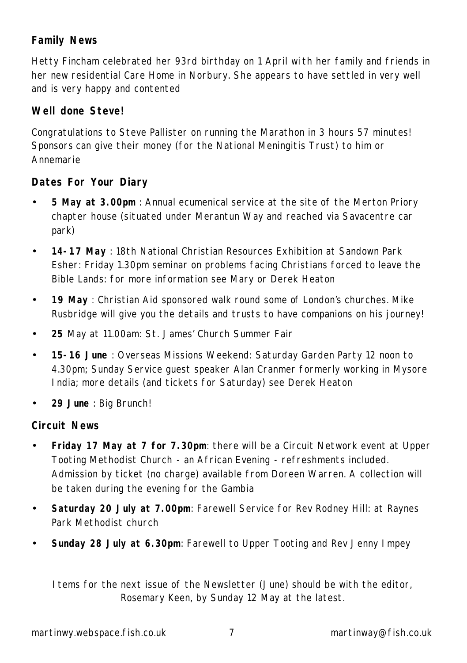## **Family News**

Hetty Fincham celebrated her 93rd birthday on 1 April wi th her family and friends in her new residential Care Home in Norbury. She appears to have settled in very well and is very happy and contented

## **Well done Steve!**

Congratulations to Steve Pallister on running the Marathon in 3 hours 57 minutes! Sponsors can give their money (for the National Meningitis Trust) to him or Annemarie

## **Dates For Your Diary**

- **5 May at 3.00pm** : Annual ecumenical service at the site of the Merton Priory chapter house (situated under Merantun Way and reached via Savacentre car park)
- **14-17 May** : 18th National Christian Resources Exhibition at Sandown Park Esher: Friday 1.30pm seminar on problems facing Christians forced to leave the Bible Lands: for more information see Mary or Derek Heaton
- **19 May** : Christian Aid sponsored walk round some of London's churches. Mike Rusbridge will give you the details and trusts to have companions on his journey!
- **25** May at 11.00am: St. James' Church Summer Fair
- **15-16 June** : Overseas Missions Weekend: Saturday Garden Party 12 noon to 4.30pm; Sunday Service guest speaker Alan Cranmer formerly working in Mysore India; more details (and tickets for Saturday) see Derek Heaton
- **29 June** : Big Brunch!

## **Circuit News**

- **Friday 17 May at 7 for 7.30pm**: there will be a Circuit Network event at Upper Tooting Methodist Church - an African Evening - refreshments included. Admission by ticket (no charge) available from Doreen Warren. A collection will be taken during the evening for the Gambia
- **Saturday 20 July at 7.00pm**: Farewell Service for Rev Rodney Hill: at Raynes Park Methodist church
- **Sunday 28 July at 6.30pm**: Farewell to Upper Tooting and Rev Jenny Impey

Items for the next issue of the Newsletter (June) should be with the editor, Rosemary Keen, by Sunday 12 May at the latest.